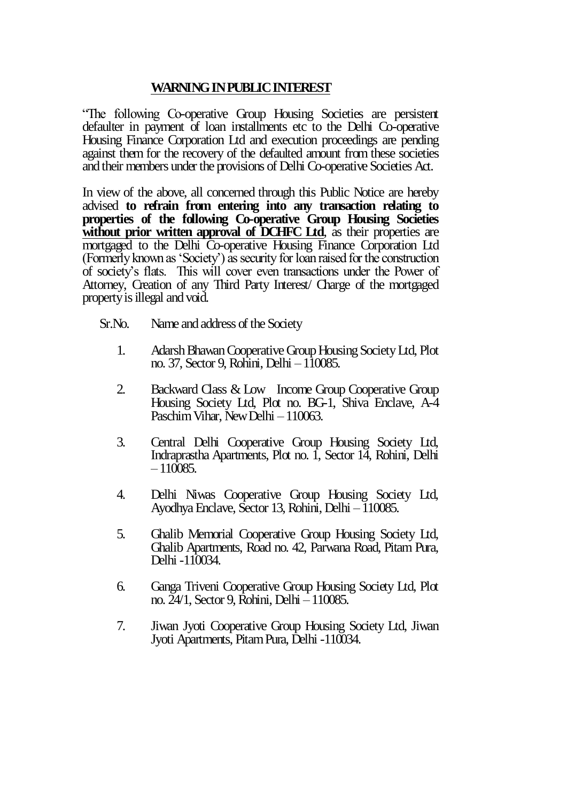## **WARNING IN PUBLIC INTEREST**

"The following Co-operative Group Housing Societies are persistent defaulter in payment of loan installments etc to the Delhi Co-operative Housing Finance Corporation Ltd and execution proceedings are pending against them for the recovery of the defaulted amount from these societies and their members under the provisions of Delhi Co-operative Societies Act.

In view of the above, all concerned through this Public Notice are hereby advised **to refrain from entering into any transaction relating to properties of the following Co-operative Group Housing Societies without prior written approval of DCHFC Ltd**, as their properties are mortgaged to the Delhi Co-operative Housing Finance Corporation Ltd (Formerly known as 'Society') as security for loan raised for the construction of society's flats. This will cover even transactions under the Power of Attorney, Creation of any Third Party Interest/ Charge of the mortgaged property is illegal and void.

- Sr.No. Name and address of the Society
	- 1. Adarsh Bhawan Cooperative Group Housing Society Ltd, Plot no. 37, Sector 9, Rohini, Delhi – 110085.
	- 2. Backward Class & Low Income Group Cooperative Group Housing Society Ltd, Plot no. BG-1, Shiva Enclave, A-4 Paschim Vihar, New Delhi –110063.
	- 3. Central Delhi Cooperative Group Housing Society Ltd, Indraprastha Apartments, Plot no. 1, Sector 14, Rohini, Delhi  $-110085.$
	- 4. Delhi Niwas Cooperative Group Housing Society Ltd, Ayodhya Enclave, Sector 13, Rohini, Delhi – 110085.
	- 5. Ghalib Memorial Cooperative Group Housing Society Ltd, Ghalib Apartments, Road no. 42, Parwana Road, Pitam Pura, Delhi -110034.
	- 6. Ganga Triveni Cooperative Group Housing Society Ltd, Plot no. 24/1, Sector 9, Rohini, Delhi –110085.
	- 7. Jiwan Jyoti Cooperative Group Housing Society Ltd, Jiwan Jyoti Apartments, Pitam Pura, Delhi -110034.